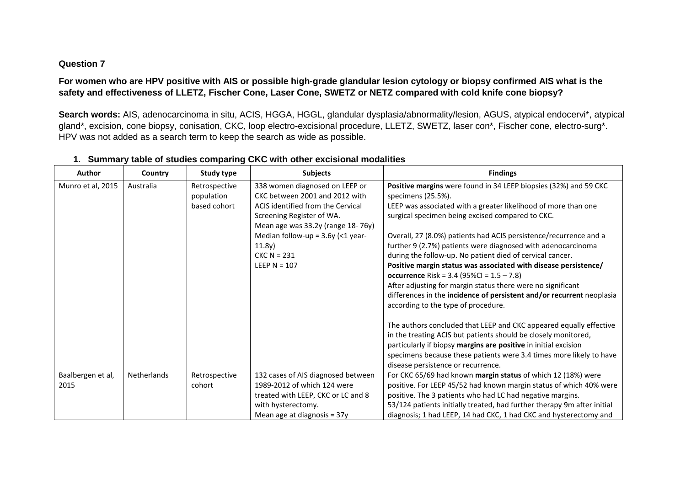## **Question 7**

# **For women who are HPV positive with AIS or possible high-grade glandular lesion cytology or biopsy confirmed AIS what is the safety and effectiveness of LLETZ, Fischer Cone, Laser Cone, SWETZ or NETZ compared with cold knife cone biopsy?**

Search words: AIS, adenocarcinoma in situ, ACIS, HGGA, HGGL, glandular dysplasia/abnormality/lesion, AGUS, atypical endocervi\*, atypical gland\*, excision, cone biopsy, conisation, CKC, loop electro-excisional procedure, LLETZ, SWETZ, laser con\*, Fischer cone, electro-surg\*. HPV was not added as a search term to keep the search as wide as possible.

| <b>Author</b>     | Country     | <b>Study type</b> | <b>Subjects</b>                     | <b>Findings</b>                                                         |
|-------------------|-------------|-------------------|-------------------------------------|-------------------------------------------------------------------------|
| Munro et al, 2015 | Australia   | Retrospective     | 338 women diagnosed on LEEP or      | Positive margins were found in 34 LEEP biopsies (32%) and 59 CKC        |
|                   |             | population        | CKC between 2001 and 2012 with      | specimens (25.5%).                                                      |
|                   |             | based cohort      | ACIS identified from the Cervical   | LEEP was associated with a greater likelihood of more than one          |
|                   |             |                   | Screening Register of WA.           | surgical specimen being excised compared to CKC.                        |
|                   |             |                   | Mean age was 33.2y (range 18-76y)   |                                                                         |
|                   |             |                   | Median follow-up = $3.6y$ (<1 year- | Overall, 27 (8.0%) patients had ACIS persistence/recurrence and a       |
|                   |             |                   | 11.8y)                              | further 9 (2.7%) patients were diagnosed with adenocarcinoma            |
|                   |             |                   | $CKC N = 231$                       | during the follow-up. No patient died of cervical cancer.               |
|                   |             |                   | LEEP $N = 107$                      | Positive margin status was associated with disease persistence/         |
|                   |             |                   |                                     | <b>occurrence</b> Risk = $3.4$ (95%Cl = $1.5 - 7.8$ )                   |
|                   |             |                   |                                     | After adjusting for margin status there were no significant             |
|                   |             |                   |                                     | differences in the incidence of persistent and/or recurrent neoplasia   |
|                   |             |                   |                                     | according to the type of procedure.                                     |
|                   |             |                   |                                     |                                                                         |
|                   |             |                   |                                     | The authors concluded that LEEP and CKC appeared equally effective      |
|                   |             |                   |                                     | in the treating ACIS but patients should be closely monitored,          |
|                   |             |                   |                                     | particularly if biopsy margins are positive in initial excision         |
|                   |             |                   |                                     | specimens because these patients were 3.4 times more likely to have     |
|                   |             |                   |                                     | disease persistence or recurrence.                                      |
| Baalbergen et al, | Netherlands | Retrospective     | 132 cases of AIS diagnosed between  | For CKC 65/69 had known margin status of which 12 (18%) were            |
| 2015              |             | cohort            | 1989-2012 of which 124 were         | positive. For LEEP 45/52 had known margin status of which 40% were      |
|                   |             |                   | treated with LEEP, CKC or LC and 8  | positive. The 3 patients who had LC had negative margins.               |
|                   |             |                   | with hysterectomy.                  | 53/124 patients initially treated, had further therapy 9m after initial |
|                   |             |                   | Mean age at diagnosis = $37y$       | diagnosis; 1 had LEEP, 14 had CKC, 1 had CKC and hysterectomy and       |

### **1. Summary table of studies comparing CKC with other excisional modalities**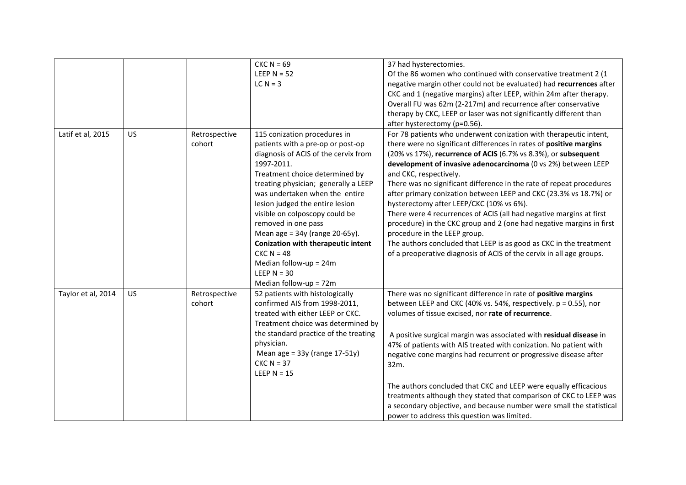|                    |           |               | $CKC N = 69$                              | 37 had hysterectomies.                                               |
|--------------------|-----------|---------------|-------------------------------------------|----------------------------------------------------------------------|
|                    |           |               | LEEP $N = 52$                             | Of the 86 women who continued with conservative treatment 2 (1       |
|                    |           |               | $LCN = 3$                                 | negative margin other could not be evaluated) had recurrences after  |
|                    |           |               |                                           | CKC and 1 (negative margins) after LEEP, within 24m after therapy.   |
|                    |           |               |                                           | Overall FU was 62m (2-217m) and recurrence after conservative        |
|                    |           |               |                                           | therapy by CKC, LEEP or laser was not significantly different than   |
|                    |           |               |                                           | after hysterectomy (p=0.56).                                         |
| Latif et al, 2015  | US        | Retrospective | 115 conization procedures in              | For 78 patients who underwent conization with therapeutic intent,    |
|                    |           | cohort        | patients with a pre-op or post-op         | there were no significant differences in rates of positive margins   |
|                    |           |               | diagnosis of ACIS of the cervix from      | (20% vs 17%), recurrence of ACIS (6.7% vs 8.3%), or subsequent       |
|                    |           |               | 1997-2011.                                | development of invasive adenocarcinoma (0 vs 2%) between LEEP        |
|                    |           |               | Treatment choice determined by            | and CKC, respectively.                                               |
|                    |           |               | treating physician; generally a LEEP      | There was no significant difference in the rate of repeat procedures |
|                    |           |               | was undertaken when the entire            | after primary conization between LEEP and CKC (23.3% vs 18.7%) or    |
|                    |           |               | lesion judged the entire lesion           | hysterectomy after LEEP/CKC (10% vs 6%).                             |
|                    |           |               | visible on colposcopy could be            | There were 4 recurrences of ACIS (all had negative margins at first  |
|                    |           |               | removed in one pass                       | procedure) in the CKC group and 2 (one had negative margins in first |
|                    |           |               | Mean age = $34y$ (range 20-65y).          | procedure in the LEEP group.                                         |
|                    |           |               | <b>Conization with therapeutic intent</b> | The authors concluded that LEEP is as good as CKC in the treatment   |
|                    |           |               | $CKC N = 48$                              | of a preoperative diagnosis of ACIS of the cervix in all age groups. |
|                    |           |               | Median follow-up = $24m$                  |                                                                      |
|                    |           |               | LEEP $N = 30$                             |                                                                      |
|                    |           |               | Median follow-up = 72m                    |                                                                      |
| Taylor et al, 2014 | <b>US</b> | Retrospective | 52 patients with histologically           | There was no significant difference in rate of positive margins      |
|                    |           | cohort        | confirmed AIS from 1998-2011,             | between LEEP and CKC (40% vs. 54%, respectively. p = 0.55), nor      |
|                    |           |               | treated with either LEEP or CKC.          | volumes of tissue excised, nor rate of recurrence.                   |
|                    |           |               | Treatment choice was determined by        |                                                                      |
|                    |           |               | the standard practice of the treating     | A positive surgical margin was associated with residual disease in   |
|                    |           |               | physician.                                | 47% of patients with AIS treated with conization. No patient with    |
|                    |           |               | Mean age = $33y$ (range $17-51y$ )        | negative cone margins had recurrent or progressive disease after     |
|                    |           |               | $CKC N = 37$                              | 32m.                                                                 |
|                    |           |               | LEEP $N = 15$                             |                                                                      |
|                    |           |               |                                           | The authors concluded that CKC and LEEP were equally efficacious     |
|                    |           |               |                                           | treatments although they stated that comparison of CKC to LEEP was   |
|                    |           |               |                                           | a secondary objective, and because number were small the statistical |
|                    |           |               |                                           | power to address this question was limited.                          |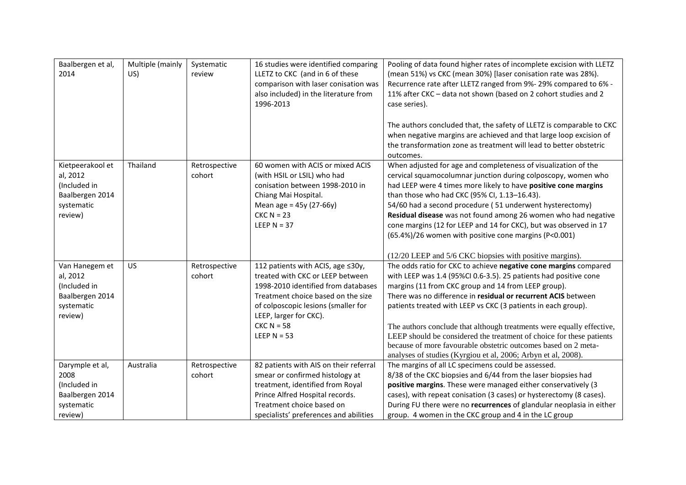| Baalbergen et al,<br>2014                                                                | Multiple (mainly<br>US) | Systematic<br>review    | 16 studies were identified comparing<br>LLETZ to CKC (and in 6 of these<br>comparison with laser conisation was<br>also included) in the literature from<br>1996-2013                                                                                | Pooling of data found higher rates of incomplete excision with LLETZ<br>(mean 51%) vs CKC (mean 30%) [laser conisation rate was 28%).<br>Recurrence rate after LLETZ ranged from 9%- 29% compared to 6% -<br>11% after CKC - data not shown (based on 2 cohort studies and 2<br>case series).<br>The authors concluded that, the safety of LLETZ is comparable to CKC<br>when negative margins are achieved and that large loop excision of<br>the transformation zone as treatment will lead to better obstetric<br>outcomes.                                                                                    |
|------------------------------------------------------------------------------------------|-------------------------|-------------------------|------------------------------------------------------------------------------------------------------------------------------------------------------------------------------------------------------------------------------------------------------|-------------------------------------------------------------------------------------------------------------------------------------------------------------------------------------------------------------------------------------------------------------------------------------------------------------------------------------------------------------------------------------------------------------------------------------------------------------------------------------------------------------------------------------------------------------------------------------------------------------------|
| Kietpeerakool et<br>al, 2012<br>(Included in<br>Baalbergen 2014<br>systematic<br>review) | Thailand                | Retrospective<br>cohort | 60 women with ACIS or mixed ACIS<br>(with HSIL or LSIL) who had<br>conisation between 1998-2010 in<br>Chiang Mai Hospital.<br>Mean age = $45y(27-66y)$<br>$CKC N = 23$<br>LEEP $N = 37$                                                              | When adjusted for age and completeness of visualization of the<br>cervical squamocolumnar junction during colposcopy, women who<br>had LEEP were 4 times more likely to have positive cone margins<br>than those who had CKC (95% CI, 1.13-16.43).<br>54/60 had a second procedure (51 underwent hysterectomy)<br>Residual disease was not found among 26 women who had negative<br>cone margins (12 for LEEP and 14 for CKC), but was observed in 17<br>(65.4%)/26 women with positive cone margins (P<0.001)<br>(12/20 LEEP and 5/6 CKC biopsies with positive margins).                                        |
| Van Hanegem et<br>al, 2012<br>(Included in<br>Baalbergen 2014<br>systematic<br>review)   | US                      | Retrospective<br>cohort | 112 patients with ACIS, age ≤30y,<br>treated with CKC or LEEP between<br>1998-2010 identified from databases<br>Treatment choice based on the size<br>of colposcopic lesions (smaller for<br>LEEP, larger for CKC).<br>$CKC N = 58$<br>LEEP $N = 53$ | The odds ratio for CKC to achieve negative cone margins compared<br>with LEEP was 1.4 (95%CI 0.6-3.5). 25 patients had positive cone<br>margins (11 from CKC group and 14 from LEEP group).<br>There was no difference in residual or recurrent ACIS between<br>patients treated with LEEP vs CKC (3 patients in each group).<br>The authors conclude that although treatments were equally effective,<br>LEEP should be considered the treatment of choice for these patients<br>because of more favourable obstetric outcomes based on 2 meta-<br>analyses of studies (Kyrgiou et al, 2006; Arbyn et al, 2008). |
| Darymple et al,<br>2008<br>(Included in<br>Baalbergen 2014<br>systematic<br>review)      | Australia               | Retrospective<br>cohort | 82 patients with AIS on their referral<br>smear or confirmed histology at<br>treatment, identified from Royal<br>Prince Alfred Hospital records.<br>Treatment choice based on<br>specialists' preferences and abilities                              | The margins of all LC specimens could be assessed.<br>8/38 of the CKC biopsies and 6/44 from the laser biopsies had<br>positive margins. These were managed either conservatively (3<br>cases), with repeat conisation (3 cases) or hysterectomy (8 cases).<br>During FU there were no recurrences of glandular neoplasia in either<br>group. 4 women in the CKC group and 4 in the LC group                                                                                                                                                                                                                      |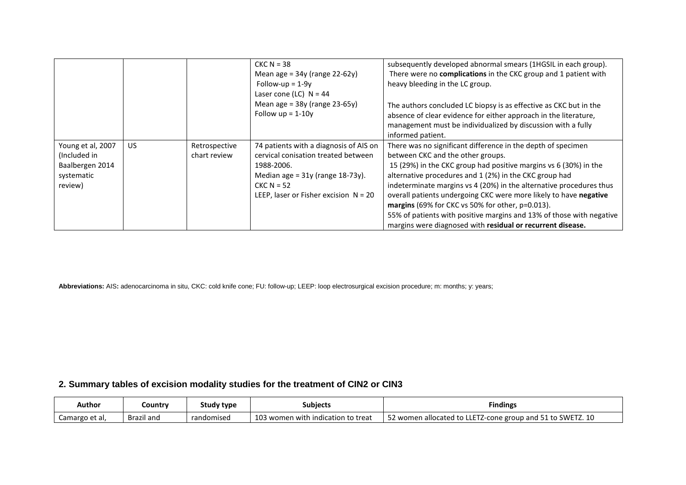|                                                                               |     |                               | $CKC N = 38$<br>Mean age = $34y$ (range 22-62y)<br>Follow-up = $1-9y$<br>Laser cone (LC) $N = 44$<br>Mean age = $38y$ (range 23-65y)<br>Follow $up = 1-10y$                                     | subsequently developed abnormal smears (1HGSIL in each group).<br>There were no complications in the CKC group and 1 patient with<br>heavy bleeding in the LC group.<br>The authors concluded LC biopsy is as effective as CKC but in the<br>absence of clear evidence for either approach in the literature,<br>management must be individualized by discussion with a fully<br>informed patient.                                                                                                                                                                    |
|-------------------------------------------------------------------------------|-----|-------------------------------|-------------------------------------------------------------------------------------------------------------------------------------------------------------------------------------------------|-----------------------------------------------------------------------------------------------------------------------------------------------------------------------------------------------------------------------------------------------------------------------------------------------------------------------------------------------------------------------------------------------------------------------------------------------------------------------------------------------------------------------------------------------------------------------|
| Young et al, 2007<br>(Included in<br>Baalbergen 2014<br>systematic<br>review) | US. | Retrospective<br>chart review | 74 patients with a diagnosis of AIS on<br>cervical conisation treated between<br>1988-2006.<br>Median age = $31y$ (range $18-73y$ ).<br>$CKC N = 52$<br>LEEP, laser or Fisher excision $N = 20$ | There was no significant difference in the depth of specimen<br>between CKC and the other groups.<br>15 (29%) in the CKC group had positive margins vs 6 (30%) in the<br>alternative procedures and 1 (2%) in the CKC group had<br>indeterminate margins vs 4 (20%) in the alternative procedures thus<br>overall patients undergoing CKC were more likely to have negative<br>margins (69% for CKC vs 50% for other, p=0.013).<br>55% of patients with positive margins and 13% of those with negative<br>margins were diagnosed with residual or recurrent disease. |

**Abbreviations:** AIS**:** adenocarcinoma in situ, CKC: cold knife cone; FU: follow-up; LEEP: loop electrosurgical excision procedure; m: months; y: years;

# **2. Summary tables of excision modality studies for the treatment of CIN2 or CIN3**

| Author         | Country    | Study type | Subjects                                          | <b>Findings</b>                                               |
|----------------|------------|------------|---------------------------------------------------|---------------------------------------------------------------|
| Camargo et al, | Brazil and | randomised | $\sim$<br>3 women with indication to treat<br>LU3 | 52 women allocated to<br>LLETZ-cone group and 51 to SWETZ. 10 |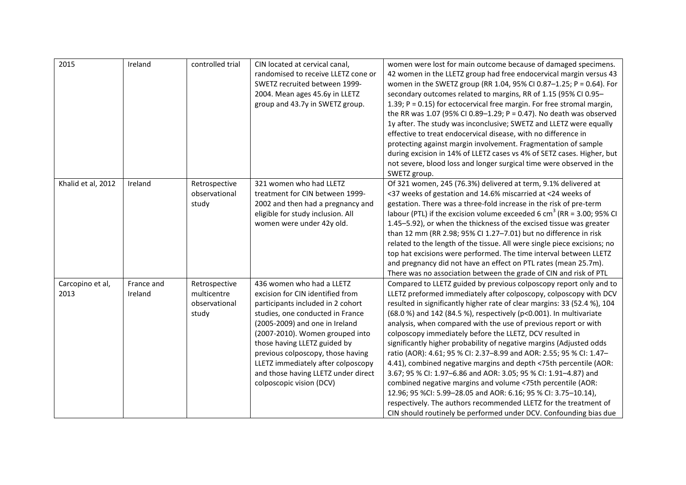| 2015                     | Ireland               | controlled trial                                       | CIN located at cervical canal,<br>randomised to receive LLETZ cone or<br>SWETZ recruited between 1999-<br>2004. Mean ages 45.6y in LLETZ<br>group and 43.7y in SWETZ group.                                                                                                                                                                                                               | women were lost for main outcome because of damaged specimens.<br>42 women in the LLETZ group had free endocervical margin versus 43<br>women in the SWETZ group (RR 1.04, 95% CI 0.87-1.25; P = 0.64). For<br>secondary outcomes related to margins, RR of 1.15 (95% CI 0.95-<br>1.39; $P = 0.15$ ) for ectocervical free margin. For free stromal margin,<br>the RR was 1.07 (95% CI 0.89-1.29; P = 0.47). No death was observed<br>1y after. The study was inconclusive; SWETZ and LLETZ were equally<br>effective to treat endocervical disease, with no difference in<br>protecting against margin involvement. Fragmentation of sample<br>during excision in 14% of LLETZ cases vs 4% of SETZ cases. Higher, but<br>not severe, blood loss and longer surgical time were observed in the<br>SWETZ group.                                                                                                                                                                           |
|--------------------------|-----------------------|--------------------------------------------------------|-------------------------------------------------------------------------------------------------------------------------------------------------------------------------------------------------------------------------------------------------------------------------------------------------------------------------------------------------------------------------------------------|------------------------------------------------------------------------------------------------------------------------------------------------------------------------------------------------------------------------------------------------------------------------------------------------------------------------------------------------------------------------------------------------------------------------------------------------------------------------------------------------------------------------------------------------------------------------------------------------------------------------------------------------------------------------------------------------------------------------------------------------------------------------------------------------------------------------------------------------------------------------------------------------------------------------------------------------------------------------------------------|
| Khalid et al, 2012       | Ireland               | Retrospective<br>observational<br>study                | 321 women who had LLETZ<br>treatment for CIN between 1999-<br>2002 and then had a pregnancy and<br>eligible for study inclusion. All<br>women were under 42y old.                                                                                                                                                                                                                         | Of 321 women, 245 (76.3%) delivered at term, 9.1% delivered at<br><37 weeks of gestation and 14.6% miscarried at <24 weeks of<br>gestation. There was a three-fold increase in the risk of pre-term<br>labour (PTL) if the excision volume exceeded 6 cm <sup>3</sup> (RR = 3.00; 95% CI<br>1.45-5.92), or when the thickness of the excised tissue was greater<br>than 12 mm (RR 2.98; 95% CI 1.27-7.01) but no difference in risk<br>related to the length of the tissue. All were single piece excisions; no<br>top hat excisions were performed. The time interval between LLETZ<br>and pregnancy did not have an effect on PTL rates (mean 25.7m).<br>There was no association between the grade of CIN and risk of PTL                                                                                                                                                                                                                                                             |
| Carcopino et al,<br>2013 | France and<br>Ireland | Retrospective<br>multicentre<br>observational<br>study | 436 women who had a LLETZ<br>excision for CIN identified from<br>participants included in 2 cohort<br>studies, one conducted in France<br>(2005-2009) and one in Ireland<br>(2007-2010). Women grouped into<br>those having LLETZ guided by<br>previous colposcopy, those having<br>LLETZ immediately after colposcopy<br>and those having LLETZ under direct<br>colposcopic vision (DCV) | Compared to LLETZ guided by previous colposcopy report only and to<br>LLETZ preformed immediately after colposcopy, colposcopy with DCV<br>resulted in significantly higher rate of clear margins: 33 (52.4 %), 104<br>(68.0 %) and 142 (84.5 %), respectively (p<0.001). In multivariate<br>analysis, when compared with the use of previous report or with<br>colposcopy immediately before the LLETZ, DCV resulted in<br>significantly higher probability of negative margins (Adjusted odds<br>ratio (AOR): 4.61; 95 % CI: 2.37-8.99 and AOR: 2.55; 95 % CI: 1.47-<br>4.41), combined negative margins and depth <75th percentile (AOR:<br>3.67; 95 % CI: 1.97-6.86 and AOR: 3.05; 95 % CI: 1.91-4.87) and<br>combined negative margins and volume <75th percentile (AOR:<br>12.96; 95 %Cl: 5.99-28.05 and AOR: 6.16; 95 % Cl: 3.75-10.14),<br>respectively. The authors recommended LLETZ for the treatment of<br>CIN should routinely be performed under DCV. Confounding bias due |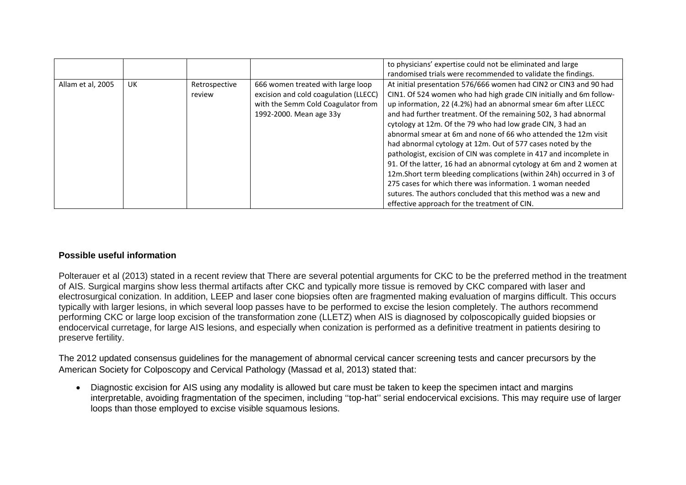|                   |    |               |                                       | to physicians' expertise could not be eliminated and large           |
|-------------------|----|---------------|---------------------------------------|----------------------------------------------------------------------|
|                   |    |               |                                       | randomised trials were recommended to validate the findings.         |
| Allam et al, 2005 | UK | Retrospective | 666 women treated with large loop     | At initial presentation 576/666 women had CIN2 or CIN3 and 90 had    |
|                   |    | review        | excision and cold coagulation (LLECC) | CIN1. Of 524 women who had high grade CIN initially and 6m follow-   |
|                   |    |               | with the Semm Cold Coagulator from    | up information, 22 (4.2%) had an abnormal smear 6m after LLECC       |
|                   |    |               | 1992-2000. Mean age 33y               | and had further treatment. Of the remaining 502, 3 had abnormal      |
|                   |    |               |                                       | cytology at 12m. Of the 79 who had low grade CIN, 3 had an           |
|                   |    |               |                                       | abnormal smear at 6m and none of 66 who attended the 12m visit       |
|                   |    |               |                                       | had abnormal cytology at 12m. Out of 577 cases noted by the          |
|                   |    |               |                                       | pathologist, excision of CIN was complete in 417 and incomplete in   |
|                   |    |               |                                       | 91. Of the latter, 16 had an abnormal cytology at 6m and 2 women at  |
|                   |    |               |                                       | 12m. Short term bleeding complications (within 24h) occurred in 3 of |
|                   |    |               |                                       | 275 cases for which there was information. 1 woman needed            |
|                   |    |               |                                       | sutures. The authors concluded that this method was a new and        |
|                   |    |               |                                       | effective approach for the treatment of CIN.                         |

### **Possible useful information**

Polterauer et al (2013) stated in a recent review that There are several potential arguments for CKC to be the preferred method in the treatment of AIS. Surgical margins show less thermal artifacts after CKC and typically more tissue is removed by CKC compared with laser and electrosurgical conization. In addition, LEEP and laser cone biopsies often are fragmented making evaluation of margins difficult. This occurs typically with larger lesions, in which several loop passes have to be performed to excise the lesion completely. The authors recommend performing CKC or large loop excision of the transformation zone (LLETZ) when AIS is diagnosed by colposcopically guided biopsies or endocervical curretage, for large AIS lesions, and especially when conization is performed as a definitive treatment in patients desiring to preserve fertility.

The 2012 updated consensus guidelines for the management of abnormal cervical cancer screening tests and cancer precursors by the American Society for Colposcopy and Cervical Pathology (Massad et al, 2013) stated that:

• Diagnostic excision for AIS using any modality is allowed but care must be taken to keep the specimen intact and margins interpretable, avoiding fragmentation of the specimen, including ''top-hat'' serial endocervical excisions. This may require use of larger loops than those employed to excise visible squamous lesions.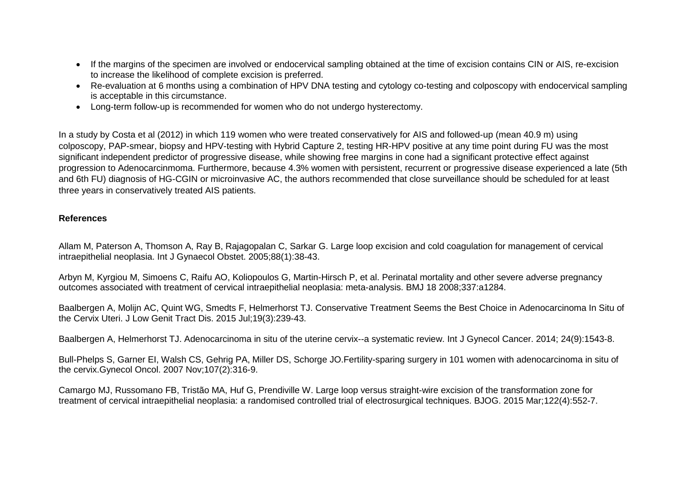- If the margins of the specimen are involved or endocervical sampling obtained at the time of excision contains CIN or AIS, re-excision to increase the likelihood of complete excision is preferred.
- Re-evaluation at 6 months using a combination of HPV DNA testing and cytology co-testing and colposcopy with endocervical sampling is acceptable in this circumstance.
- Long-term follow-up is recommended for women who do not undergo hysterectomy.

In a study by Costa et al (2012) in which 119 women who were treated conservatively for AIS and followed-up (mean 40.9 m) using colposcopy, PAP-smear, biopsy and HPV-testing with Hybrid Capture 2, testing HR-HPV positive at any time point during FU was the most significant independent predictor of progressive disease, while showing free margins in cone had a significant protective effect against progression to Adenocarcinmoma. Furthermore, because 4.3% women with persistent, recurrent or progressive disease experienced a late (5th and 6th FU) diagnosis of HG-CGIN or microinvasive AC, the authors recommended that close surveillance should be scheduled for at least three years in conservatively treated AIS patients.

#### **References**

Allam M, Paterson A, Thomson A, Ray B, Rajagopalan C, Sarkar G. Large loop excision and cold coagulation for management of cervical intraepithelial neoplasia. Int J Gynaecol Obstet. 2005;88(1):38-43.

Arbyn M, Kyrgiou M, Simoens C, Raifu AO, Koliopoulos G, Martin-Hirsch P, et al. Perinatal mortality and other severe adverse pregnancy outcomes associated with treatment of cervical intraepithelial neoplasia: meta-analysis. BMJ 18 2008;337:a1284.

Baalbergen A, Molijn AC, Quint WG, Smedts F, Helmerhorst TJ. Conservative Treatment Seems the Best Choice in Adenocarcinoma In Situ of the Cervix Uteri. J Low Genit Tract Dis. 2015 Jul;19(3):239-43.

Baalbergen A, Helmerhorst TJ. Adenocarcinoma in situ of the uterine cervix--a systematic review. Int J Gynecol Cancer. 2014; 24(9):1543-8.

Bull-Phelps S, Garner EI, Walsh CS, Gehrig PA, Miller DS, Schorge JO.Fertility-sparing surgery in 101 women with adenocarcinoma in situ of the cervix.Gynecol Oncol. 2007 Nov;107(2):316-9.

Camargo MJ, Russomano FB, Tristão MA, Huf G, Prendiville W. Large loop versus straight-wire excision of the transformation zone for treatment of cervical intraepithelial neoplasia: a randomised controlled trial of electrosurgical techniques. BJOG. 2015 Mar;122(4):552-7.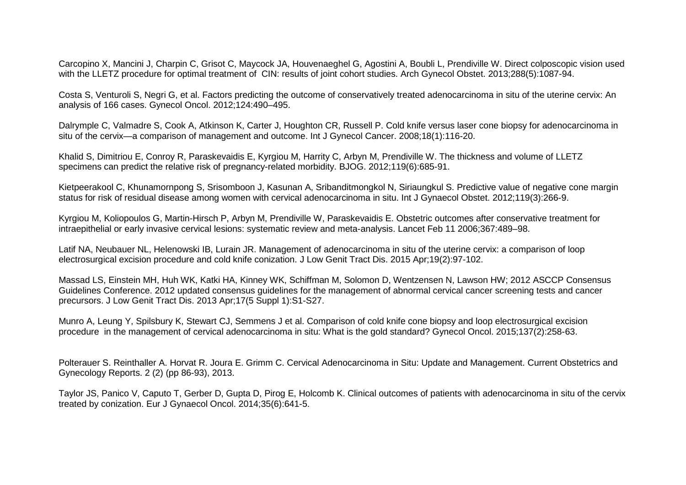Carcopino X, Mancini J, Charpin C, Grisot C, Maycock JA, Houvenaeghel G, Agostini A, Boubli L, Prendiville W. Direct colposcopic vision used with the LLETZ procedure for optimal treatment of CIN: results of joint cohort studies. Arch Gynecol Obstet. 2013;288(5):1087-94.

Costa S, Venturoli S, Negri G, et al. Factors predicting the outcome of conservatively treated adenocarcinoma in situ of the uterine cervix: An analysis of 166 cases. Gynecol Oncol. 2012;124:490–495.

Dalrymple C, Valmadre S, Cook A, Atkinson K, Carter J, Houghton CR, Russell P. Cold knife versus laser cone biopsy for adenocarcinoma in situ of the cervix—a comparison of management and outcome. Int J Gynecol Cancer. 2008;18(1):116-20.

Khalid S, Dimitriou E, Conroy R, Paraskevaidis E, Kyrgiou M, Harrity C, Arbyn M, Prendiville W. The thickness and volume of LLETZ specimens can predict the relative risk of pregnancy-related morbidity. BJOG. 2012;119(6):685-91.

Kietpeerakool C, Khunamornpong S, Srisomboon J, Kasunan A, Sribanditmongkol N, Siriaungkul S. Predictive value of negative cone margin status for risk of residual disease among women with cervical adenocarcinoma in situ. Int J Gynaecol Obstet. 2012;119(3):266-9.

Kyrgiou M, Koliopoulos G, Martin-Hirsch P, Arbyn M, Prendiville W, Paraskevaidis E. Obstetric outcomes after conservative treatment for intraepithelial or early invasive cervical lesions: systematic review and meta-analysis. Lancet Feb 11 2006;367:489–98.

Latif NA, Neubauer NL, Helenowski IB, Lurain JR. Management of adenocarcinoma in situ of the uterine cervix: a comparison of loop electrosurgical excision procedure and cold knife conization. J Low Genit Tract Dis. 2015 Apr;19(2):97-102.

Massad LS, Einstein MH, Huh WK, Katki HA, Kinney WK, Schiffman M, Solomon D, Wentzensen N, Lawson HW; 2012 ASCCP Consensus Guidelines Conference. 2012 updated consensus guidelines for the management of abnormal cervical cancer screening tests and cancer precursors. J Low Genit Tract Dis. 2013 Apr;17(5 Suppl 1):S1-S27.

Munro A, Leung Y, Spilsbury K, Stewart CJ, Semmens J et al. Comparison of cold knife cone biopsy and loop electrosurgical excision procedure in the management of cervical adenocarcinoma in situ: What is the gold standard? Gynecol Oncol. 2015;137(2):258-63.

Polterauer S. Reinthaller A. Horvat R. Joura E. Grimm C. Cervical Adenocarcinoma in Situ: Update and Management. Current Obstetrics and Gynecology Reports. 2 (2) (pp 86-93), 2013.

Taylor JS, Panico V, Caputo T, Gerber D, Gupta D, Pirog E, Holcomb K. Clinical outcomes of patients with adenocarcinoma in situ of the cervix treated by conization. Eur J Gynaecol Oncol. 2014;35(6):641-5.